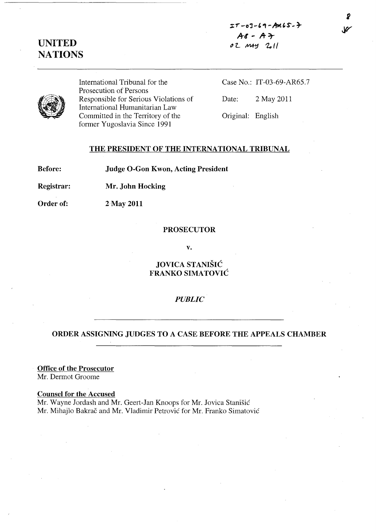# $I - 03 - 69 - AnS$ .  $A$ *s* -  $A$   $\rightarrow$

# **UNITED NATIONS**

 $02$   $M44$   $2$ <sup>11</sup>



International Tribunal for the Prosecution of Persons Responsible for Serious Violations of International Humanitarian Law Committed in the Territory of the former Yugoslavia Since 1991

Case No.: IT-03-69-AR65.7 Date: 2 May **2011**  Original: English

**THE PRESIDENT OF THE INTERNATIONAL TRIBUNAL** 

**Before: Judge O-Gon Kwon, Acting President** 

**Registrar: Mr . John Hocking** 

**Order of:** 2 May **2011** 

### **PROSECUTOR**

**v.** 

# **JOVICA STANISIC FRANKO SIMATOVIC**

## *PUBLIC*

# **ORDER ASSIGNING JUDGES TO A CASE BEFORE THE APPEALS CHAMBER**

**Office of the Prosecutor** 

Mr. Dermot Groome

**Counsel for the Accused** 

Mr. Wayne Jordash and Mr. Geert-Jan Knoops for Mr. Jovica Stanisic Mr. Mihajlo Bakrac and Mr. Vladimir Petrovic for Mr. Franko Simatovic